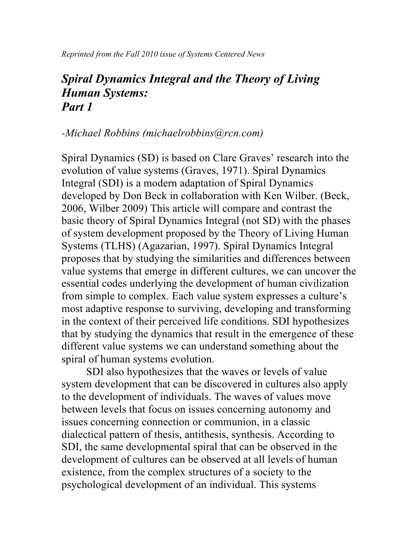*Reprinted from the Fall 2010 issue of Systems Centered News*

## *Spiral Dynamics Integral and the Theory of Living Human Systems: Part 1*

#### *-Michael Robbins (michaelrobbins@rcn.com)*

Spiral Dynamics (SD) is based on Clare Graves' research into the evolution of value systems (Graves, 1971). Spiral Dynamics Integral (SDI) is a modern adaptation of Spiral Dynamics developed by Don Beck in collaboration with Ken Wilber. (Beck, 2006, Wilber 2009) This article will compare and contrast the basic theory of Spiral Dynamics Integral (not SD) with the phases of system development proposed by the Theory of Living Human Systems (TLHS) (Agazarian, 1997). Spiral Dynamics Integral proposes that by studying the similarities and differences between value systems that emerge in different cultures, we can uncover the essential codes underlying the development of human civilization from simple to complex. Each value system expresses a culture's most adaptive response to surviving, developing and transforming in the context of their perceived life conditions. SDI hypothesizes that by studying the dynamics that result in the emergence of these different value systems we can understand something about the spiral of human systems evolution.

SDI also hypothesizes that the waves or levels of value system development that can be discovered in cultures also apply to the development of individuals. The waves of values move between levels that focus on issues concerning autonomy and issues concerning connection or communion, in a classic dialectical pattern of thesis, antithesis, synthesis. According to SDI, the same developmental spiral that can be observed in the development of cultures can be observed at all levels of human existence, from the complex structures of a society to the psychological development of an individual. This systems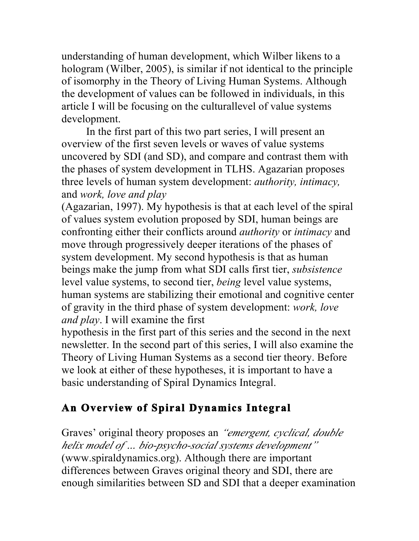understanding of human development, which Wilber likens to a hologram (Wilber, 2005), is similar if not identical to the principle of isomorphy in the Theory of Living Human Systems. Although the development of values can be followed in individuals, in this article I will be focusing on the culturallevel of value systems development.

In the first part of this two part series, I will present an overview of the first seven levels or waves of value systems uncovered by SDI (and SD), and compare and contrast them with the phases of system development in TLHS. Agazarian proposes three levels of human system development: *authority, intimacy,*  and *work, love and play*

(Agazarian, 1997). My hypothesis is that at each level of the spiral of values system evolution proposed by SDI, human beings are confronting either their conflicts around *authority* or *intimacy* and move through progressively deeper iterations of the phases of system development. My second hypothesis is that as human beings make the jump from what SDI calls first tier, *subsistence*  level value systems, to second tier, *being* level value systems, human systems are stabilizing their emotional and cognitive center of gravity in the third phase of system development: *work, love and play*. I will examine the first

hypothesis in the first part of this series and the second in the next newsletter. In the second part of this series, I will also examine the Theory of Living Human Systems as a second tier theory. Before we look at either of these hypotheses, it is important to have a basic understanding of Spiral Dynamics Integral.

# **An Overview of Spiral Dynamics Integral**

Graves' original theory proposes an *"emergent, cyclical, double helix model of … bio-psycho-social systems development"*  (www.spiraldynamics.org). Although there are important differences between Graves original theory and SDI, there are enough similarities between SD and SDI that a deeper examination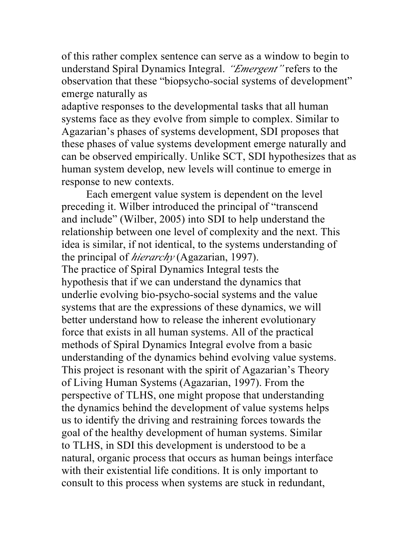of this rather complex sentence can serve as a window to begin to understand Spiral Dynamics Integral. *"Emergent"* refers to the observation that these "biopsycho-social systems of development" emerge naturally as

adaptive responses to the developmental tasks that all human systems face as they evolve from simple to complex. Similar to Agazarian's phases of systems development, SDI proposes that these phases of value systems development emerge naturally and can be observed empirically. Unlike SCT, SDI hypothesizes that as human system develop, new levels will continue to emerge in response to new contexts.

Each emergent value system is dependent on the level preceding it. Wilber introduced the principal of "transcend and include" (Wilber, 2005) into SDI to help understand the relationship between one level of complexity and the next. This idea is similar, if not identical, to the systems understanding of the principal of *hierarchy* (Agazarian, 1997). The practice of Spiral Dynamics Integral tests the hypothesis that if we can understand the dynamics that underlie evolving bio-psycho-social systems and the value systems that are the expressions of these dynamics, we will better understand how to release the inherent evolutionary force that exists in all human systems. All of the practical methods of Spiral Dynamics Integral evolve from a basic understanding of the dynamics behind evolving value systems. This project is resonant with the spirit of Agazarian's Theory of Living Human Systems (Agazarian, 1997). From the perspective of TLHS, one might propose that understanding the dynamics behind the development of value systems helps us to identify the driving and restraining forces towards the goal of the healthy development of human systems. Similar to TLHS, in SDI this development is understood to be a natural, organic process that occurs as human beings interface with their existential life conditions. It is only important to consult to this process when systems are stuck in redundant,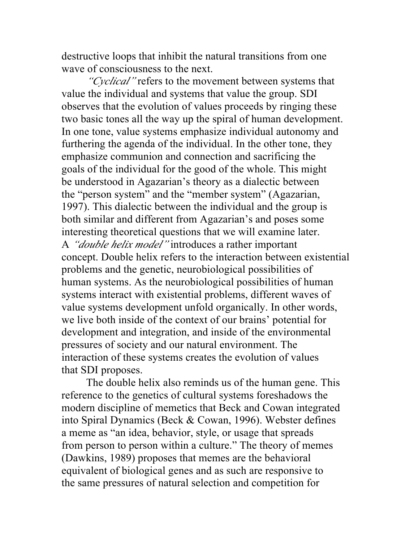destructive loops that inhibit the natural transitions from one wave of consciousness to the next.

*"Cyclical"* refers to the movement between systems that value the individual and systems that value the group. SDI observes that the evolution of values proceeds by ringing these two basic tones all the way up the spiral of human development. In one tone, value systems emphasize individual autonomy and furthering the agenda of the individual. In the other tone, they emphasize communion and connection and sacrificing the goals of the individual for the good of the whole. This might be understood in Agazarian's theory as a dialectic between the "person system" and the "member system" (Agazarian, 1997). This dialectic between the individual and the group is both similar and different from Agazarian's and poses some interesting theoretical questions that we will examine later. A *"double helix model"* introduces a rather important concept. Double helix refers to the interaction between existential problems and the genetic, neurobiological possibilities of human systems. As the neurobiological possibilities of human systems interact with existential problems, different waves of value systems development unfold organically. In other words, we live both inside of the context of our brains' potential for development and integration, and inside of the environmental pressures of society and our natural environment. The interaction of these systems creates the evolution of values that SDI proposes.

The double helix also reminds us of the human gene. This reference to the genetics of cultural systems foreshadows the modern discipline of memetics that Beck and Cowan integrated into Spiral Dynamics (Beck & Cowan, 1996). Webster defines a meme as "an idea, behavior, style, or usage that spreads from person to person within a culture." The theory of memes (Dawkins, 1989) proposes that memes are the behavioral equivalent of biological genes and as such are responsive to the same pressures of natural selection and competition for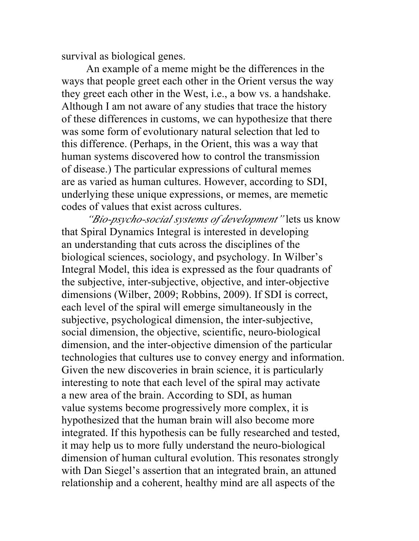survival as biological genes.

An example of a meme might be the differences in the ways that people greet each other in the Orient versus the way they greet each other in the West, i.e., a bow vs. a handshake. Although I am not aware of any studies that trace the history of these differences in customs, we can hypothesize that there was some form of evolutionary natural selection that led to this difference. (Perhaps, in the Orient, this was a way that human systems discovered how to control the transmission of disease.) The particular expressions of cultural memes are as varied as human cultures. However, according to SDI, underlying these unique expressions, or memes, are memetic codes of values that exist across cultures.

*"Bio-psycho-social systems of development"* lets us know that Spiral Dynamics Integral is interested in developing an understanding that cuts across the disciplines of the biological sciences, sociology, and psychology. In Wilber's Integral Model, this idea is expressed as the four quadrants of the subjective, inter-subjective, objective, and inter-objective dimensions (Wilber, 2009; Robbins, 2009). If SDI is correct, each level of the spiral will emerge simultaneously in the subjective, psychological dimension, the inter-subjective, social dimension, the objective, scientific, neuro-biological dimension, and the inter-objective dimension of the particular technologies that cultures use to convey energy and information. Given the new discoveries in brain science, it is particularly interesting to note that each level of the spiral may activate a new area of the brain. According to SDI, as human value systems become progressively more complex, it is hypothesized that the human brain will also become more integrated. If this hypothesis can be fully researched and tested, it may help us to more fully understand the neuro-biological dimension of human cultural evolution. This resonates strongly with Dan Siegel's assertion that an integrated brain, an attuned relationship and a coherent, healthy mind are all aspects of the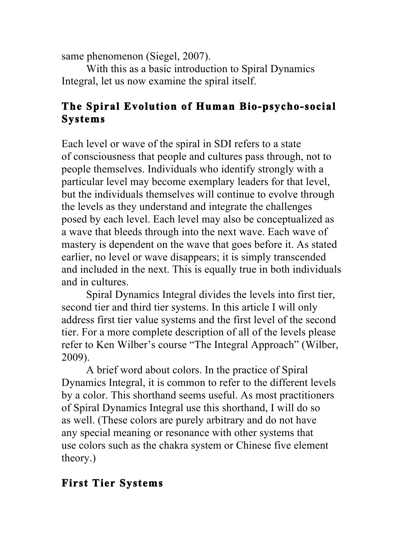same phenomenon (Siegel, 2007).

With this as a basic introduction to Spiral Dynamics Integral, let us now examine the spiral itself.

### **The Spiral Evolution of Human Bio-psycho-social Systems**

Each level or wave of the spiral in SDI refers to a state of consciousness that people and cultures pass through, not to people themselves. Individuals who identify strongly with a particular level may become exemplary leaders for that level, but the individuals themselves will continue to evolve through the levels as they understand and integrate the challenges posed by each level. Each level may also be conceptualized as a wave that bleeds through into the next wave. Each wave of mastery is dependent on the wave that goes before it. As stated earlier, no level or wave disappears; it is simply transcended and included in the next. This is equally true in both individuals and in cultures.

Spiral Dynamics Integral divides the levels into first tier, second tier and third tier systems. In this article I will only address first tier value systems and the first level of the second tier. For a more complete description of all of the levels please refer to Ken Wilber's course "The Integral Approach" (Wilber, 2009).

A brief word about colors. In the practice of Spiral Dynamics Integral, it is common to refer to the different levels by a color. This shorthand seems useful. As most practitioners of Spiral Dynamics Integral use this shorthand, I will do so as well. (These colors are purely arbitrary and do not have any special meaning or resonance with other systems that use colors such as the chakra system or Chinese five element theory.)

### **First Tier Systems**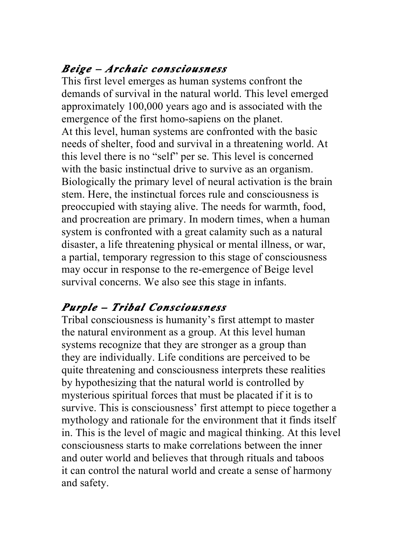### *Beige – Archaic consciousness*

This first level emerges as human systems confront the demands of survival in the natural world. This level emerged approximately 100,000 years ago and is associated with the emergence of the first homo-sapiens on the planet. At this level, human systems are confronted with the basic needs of shelter, food and survival in a threatening world. At this level there is no "self" per se. This level is concerned with the basic instinctual drive to survive as an organism. Biologically the primary level of neural activation is the brain stem. Here, the instinctual forces rule and consciousness is preoccupied with staying alive. The needs for warmth, food, and procreation are primary. In modern times, when a human system is confronted with a great calamity such as a natural disaster, a life threatening physical or mental illness, or war, a partial, temporary regression to this stage of consciousness may occur in response to the re-emergence of Beige level survival concerns. We also see this stage in infants.

# *Purple – Tribal Consciousness*

Tribal consciousness is humanity's first attempt to master the natural environment as a group. At this level human systems recognize that they are stronger as a group than they are individually. Life conditions are perceived to be quite threatening and consciousness interprets these realities by hypothesizing that the natural world is controlled by mysterious spiritual forces that must be placated if it is to survive. This is consciousness' first attempt to piece together a mythology and rationale for the environment that it finds itself in. This is the level of magic and magical thinking. At this level consciousness starts to make correlations between the inner and outer world and believes that through rituals and taboos it can control the natural world and create a sense of harmony and safety.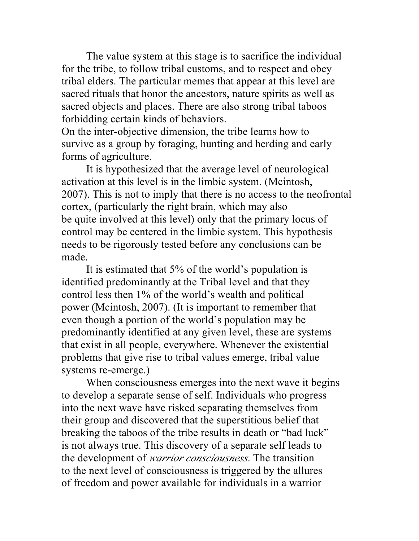The value system at this stage is to sacrifice the individual for the tribe, to follow tribal customs, and to respect and obey tribal elders. The particular memes that appear at this level are sacred rituals that honor the ancestors, nature spirits as well as sacred objects and places. There are also strong tribal taboos forbidding certain kinds of behaviors.

On the inter-objective dimension, the tribe learns how to survive as a group by foraging, hunting and herding and early forms of agriculture.

It is hypothesized that the average level of neurological activation at this level is in the limbic system. (Mcintosh, 2007). This is not to imply that there is no access to the neofrontal cortex, (particularly the right brain, which may also be quite involved at this level) only that the primary locus of control may be centered in the limbic system. This hypothesis needs to be rigorously tested before any conclusions can be made.

It is estimated that 5% of the world's population is identified predominantly at the Tribal level and that they control less then 1% of the world's wealth and political power (Mcintosh, 2007). (It is important to remember that even though a portion of the world's population may be predominantly identified at any given level, these are systems that exist in all people, everywhere. Whenever the existential problems that give rise to tribal values emerge, tribal value systems re-emerge.)

When consciousness emerges into the next wave it begins to develop a separate sense of self. Individuals who progress into the next wave have risked separating themselves from their group and discovered that the superstitious belief that breaking the taboos of the tribe results in death or "bad luck" is not always true. This discovery of a separate self leads to the development of *warrior consciousness*. The transition to the next level of consciousness is triggered by the allures of freedom and power available for individuals in a warrior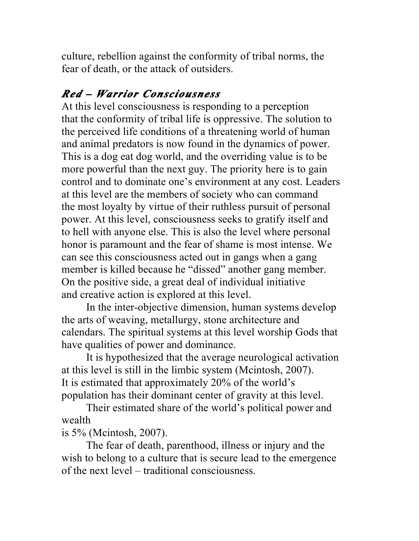culture, rebellion against the conformity of tribal norms, the fear of death, or the attack of outsiders.

# *Red – Warrior Consciousness*

At this level consciousness is responding to a perception that the conformity of tribal life is oppressive. The solution to the perceived life conditions of a threatening world of human and animal predators is now found in the dynamics of power. This is a dog eat dog world, and the overriding value is to be more powerful than the next guy. The priority here is to gain control and to dominate one's environment at any cost. Leaders at this level are the members of society who can command the most loyalty by virtue of their ruthless pursuit of personal power. At this level, consciousness seeks to gratify itself and to hell with anyone else. This is also the level where personal honor is paramount and the fear of shame is most intense. We can see this consciousness acted out in gangs when a gang member is killed because he "dissed" another gang member. On the positive side, a great deal of individual initiative and creative action is explored at this level.

In the inter-objective dimension, human systems develop the arts of weaving, metallurgy, stone architecture and calendars. The spiritual systems at this level worship Gods that have qualities of power and dominance.

It is hypothesized that the average neurological activation at this level is still in the limbic system (Mcintosh, 2007). It is estimated that approximately 20% of the world's population has their dominant center of gravity at this level.

Their estimated share of the world's political power and wealth

is 5% (Mcintosh, 2007).

The fear of death, parenthood, illness or injury and the wish to belong to a culture that is secure lead to the emergence of the next level – traditional consciousness.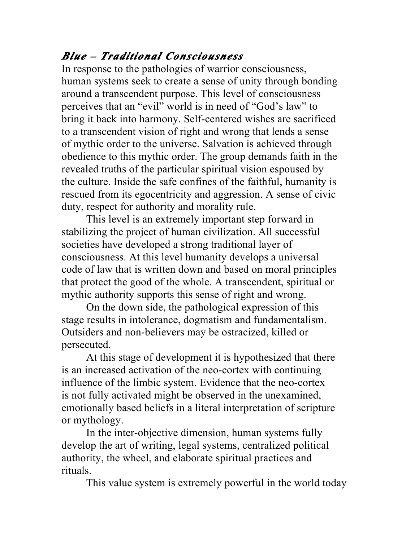## *Blue – Traditional Consciousness*

In response to the pathologies of warrior consciousness, human systems seek to create a sense of unity through bonding around a transcendent purpose. This level of consciousness perceives that an "evil" world is in need of "God's law" to bring it back into harmony. Self-centered wishes are sacrificed to a transcendent vision of right and wrong that lends a sense of mythic order to the universe. Salvation is achieved through obedience to this mythic order. The group demands faith in the revealed truths of the particular spiritual vision espoused by the culture. Inside the safe confines of the faithful, humanity is rescued from its egocentricity and aggression. A sense of civic duty, respect for authority and morality rule.

This level is an extremely important step forward in stabilizing the project of human civilization. All successful societies have developed a strong traditional layer of consciousness. At this level humanity develops a universal code of law that is written down and based on moral principles that protect the good of the whole. A transcendent, spiritual or mythic authority supports this sense of right and wrong.

On the down side, the pathological expression of this stage results in intolerance, dogmatism and fundamentalism. Outsiders and non-believers may be ostracized, killed or persecuted.

At this stage of development it is hypothesized that there is an increased activation of the neo-cortex with continuing influence of the limbic system. Evidence that the neo-cortex is not fully activated might be observed in the unexamined, emotionally based beliefs in a literal interpretation of scripture or mythology.

In the inter-objective dimension, human systems fully develop the art of writing, legal systems, centralized political authority, the wheel, and elaborate spiritual practices and rituals.

This value system is extremely powerful in the world today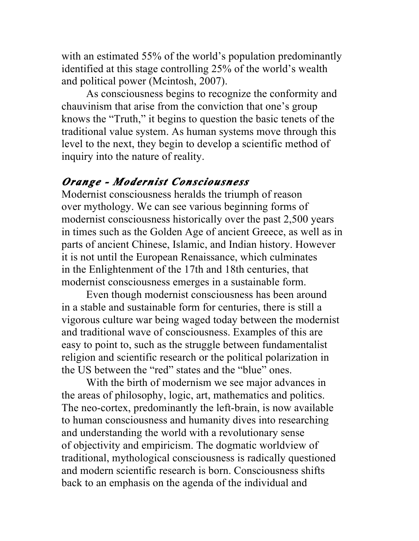with an estimated 55% of the world's population predominantly identified at this stage controlling 25% of the world's wealth and political power (Mcintosh, 2007).

As consciousness begins to recognize the conformity and chauvinism that arise from the conviction that one's group knows the "Truth," it begins to question the basic tenets of the traditional value system. As human systems move through this level to the next, they begin to develop a scientific method of inquiry into the nature of reality.

#### *Orange - Modernist Consciousness*

Modernist consciousness heralds the triumph of reason over mythology. We can see various beginning forms of modernist consciousness historically over the past 2,500 years in times such as the Golden Age of ancient Greece, as well as in parts of ancient Chinese, Islamic, and Indian history. However it is not until the European Renaissance, which culminates in the Enlightenment of the 17th and 18th centuries, that modernist consciousness emerges in a sustainable form.

Even though modernist consciousness has been around in a stable and sustainable form for centuries, there is still a vigorous culture war being waged today between the modernist and traditional wave of consciousness. Examples of this are easy to point to, such as the struggle between fundamentalist religion and scientific research or the political polarization in the US between the "red" states and the "blue" ones.

With the birth of modernism we see major advances in the areas of philosophy, logic, art, mathematics and politics. The neo-cortex, predominantly the left-brain, is now available to human consciousness and humanity dives into researching and understanding the world with a revolutionary sense of objectivity and empiricism. The dogmatic worldview of traditional, mythological consciousness is radically questioned and modern scientific research is born. Consciousness shifts back to an emphasis on the agenda of the individual and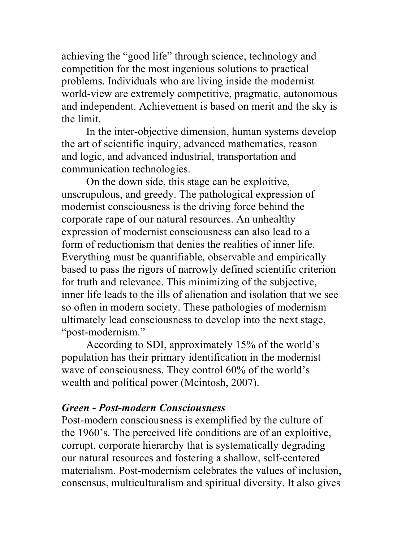achieving the "good life" through science, technology and competition for the most ingenious solutions to practical problems. Individuals who are living inside the modernist world-view are extremely competitive, pragmatic, autonomous and independent. Achievement is based on merit and the sky is the limit.

In the inter-objective dimension, human systems develop the art of scientific inquiry, advanced mathematics, reason and logic, and advanced industrial, transportation and communication technologies.

On the down side, this stage can be exploitive, unscrupulous, and greedy. The pathological expression of modernist consciousness is the driving force behind the corporate rape of our natural resources. An unhealthy expression of modernist consciousness can also lead to a form of reductionism that denies the realities of inner life. Everything must be quantifiable, observable and empirically based to pass the rigors of narrowly defined scientific criterion for truth and relevance. This minimizing of the subjective, inner life leads to the ills of alienation and isolation that we see so often in modern society. These pathologies of modernism ultimately lead consciousness to develop into the next stage, "post-modernism."

According to SDI, approximately 15% of the world's population has their primary identification in the modernist wave of consciousness. They control 60% of the world's wealth and political power (Mcintosh, 2007).

#### *Green - Post-modern Consciousness*

Post-modern consciousness is exemplified by the culture of the 1960's. The perceived life conditions are of an exploitive, corrupt, corporate hierarchy that is systematically degrading our natural resources and fostering a shallow, self-centered materialism. Post-modernism celebrates the values of inclusion, consensus, multiculturalism and spiritual diversity. It also gives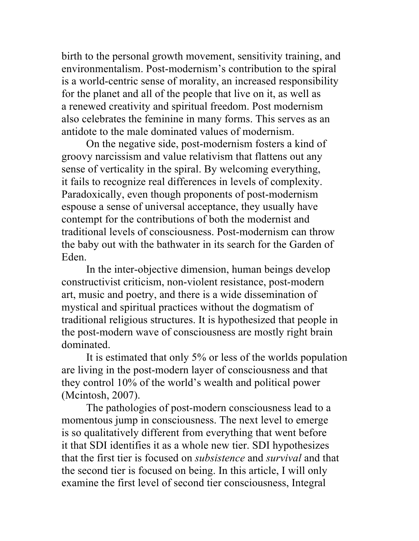birth to the personal growth movement, sensitivity training, and environmentalism. Post-modernism's contribution to the spiral is a world-centric sense of morality, an increased responsibility for the planet and all of the people that live on it, as well as a renewed creativity and spiritual freedom. Post modernism also celebrates the feminine in many forms. This serves as an antidote to the male dominated values of modernism.

On the negative side, post-modernism fosters a kind of groovy narcissism and value relativism that flattens out any sense of verticality in the spiral. By welcoming everything, it fails to recognize real differences in levels of complexity. Paradoxically, even though proponents of post-modernism espouse a sense of universal acceptance, they usually have contempt for the contributions of both the modernist and traditional levels of consciousness. Post-modernism can throw the baby out with the bathwater in its search for the Garden of Eden.

In the inter-objective dimension, human beings develop constructivist criticism, non-violent resistance, post-modern art, music and poetry, and there is a wide dissemination of mystical and spiritual practices without the dogmatism of traditional religious structures. It is hypothesized that people in the post-modern wave of consciousness are mostly right brain dominated.

It is estimated that only 5% or less of the worlds population are living in the post-modern layer of consciousness and that they control 10% of the world's wealth and political power (Mcintosh, 2007).

The pathologies of post-modern consciousness lead to a momentous jump in consciousness. The next level to emerge is so qualitatively different from everything that went before it that SDI identifies it as a whole new tier. SDI hypothesizes that the first tier is focused on *subsistence* and *survival* and that the second tier is focused on being. In this article, I will only examine the first level of second tier consciousness, Integral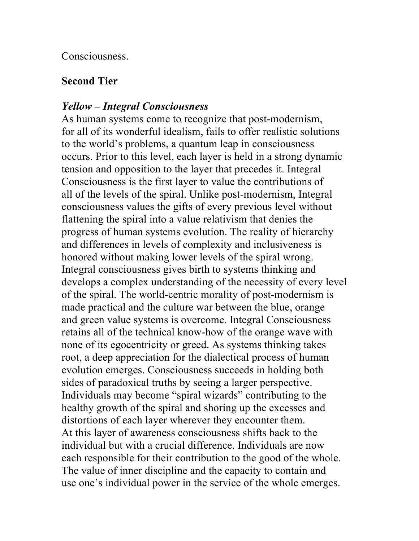Consciousness.

### **Second Tier**

### *Yellow – Integral Consciousness*

As human systems come to recognize that post-modernism, for all of its wonderful idealism, fails to offer realistic solutions to the world's problems, a quantum leap in consciousness occurs. Prior to this level, each layer is held in a strong dynamic tension and opposition to the layer that precedes it. Integral Consciousness is the first layer to value the contributions of all of the levels of the spiral. Unlike post-modernism, Integral consciousness values the gifts of every previous level without flattening the spiral into a value relativism that denies the progress of human systems evolution. The reality of hierarchy and differences in levels of complexity and inclusiveness is honored without making lower levels of the spiral wrong. Integral consciousness gives birth to systems thinking and develops a complex understanding of the necessity of every level of the spiral. The world-centric morality of post-modernism is made practical and the culture war between the blue, orange and green value systems is overcome. Integral Consciousness retains all of the technical know-how of the orange wave with none of its egocentricity or greed. As systems thinking takes root, a deep appreciation for the dialectical process of human evolution emerges. Consciousness succeeds in holding both sides of paradoxical truths by seeing a larger perspective. Individuals may become "spiral wizards" contributing to the healthy growth of the spiral and shoring up the excesses and distortions of each layer wherever they encounter them. At this layer of awareness consciousness shifts back to the individual but with a crucial difference. Individuals are now each responsible for their contribution to the good of the whole. The value of inner discipline and the capacity to contain and use one's individual power in the service of the whole emerges.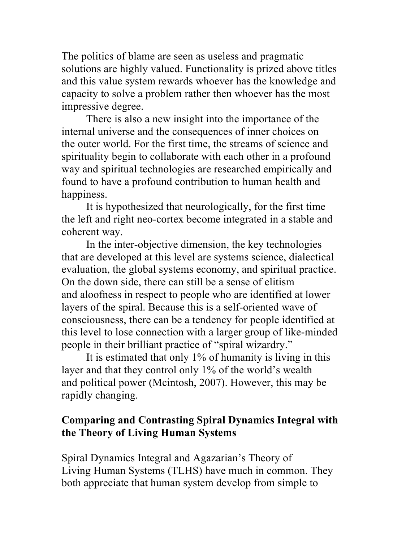The politics of blame are seen as useless and pragmatic solutions are highly valued. Functionality is prized above titles and this value system rewards whoever has the knowledge and capacity to solve a problem rather then whoever has the most impressive degree.

There is also a new insight into the importance of the internal universe and the consequences of inner choices on the outer world. For the first time, the streams of science and spirituality begin to collaborate with each other in a profound way and spiritual technologies are researched empirically and found to have a profound contribution to human health and happiness.

It is hypothesized that neurologically, for the first time the left and right neo-cortex become integrated in a stable and coherent way.

In the inter-objective dimension, the key technologies that are developed at this level are systems science, dialectical evaluation, the global systems economy, and spiritual practice. On the down side, there can still be a sense of elitism and aloofness in respect to people who are identified at lower layers of the spiral. Because this is a self-oriented wave of consciousness, there can be a tendency for people identified at this level to lose connection with a larger group of like-minded people in their brilliant practice of "spiral wizardry."

It is estimated that only 1% of humanity is living in this layer and that they control only 1% of the world's wealth and political power (Mcintosh, 2007). However, this may be rapidly changing.

### **Comparing and Contrasting Spiral Dynamics Integral with the Theory of Living Human Systems**

Spiral Dynamics Integral and Agazarian's Theory of Living Human Systems (TLHS) have much in common. They both appreciate that human system develop from simple to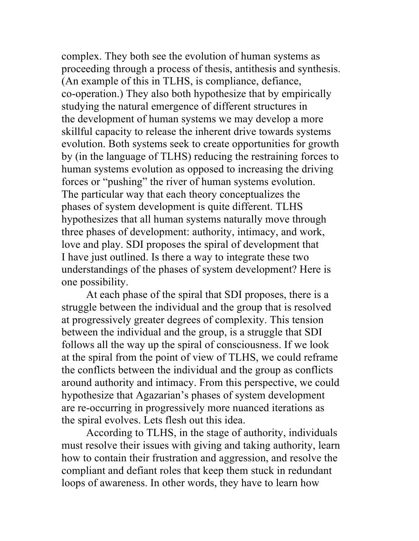complex. They both see the evolution of human systems as proceeding through a process of thesis, antithesis and synthesis. (An example of this in TLHS, is compliance, defiance, co-operation.) They also both hypothesize that by empirically studying the natural emergence of different structures in the development of human systems we may develop a more skillful capacity to release the inherent drive towards systems evolution. Both systems seek to create opportunities for growth by (in the language of TLHS) reducing the restraining forces to human systems evolution as opposed to increasing the driving forces or "pushing" the river of human systems evolution. The particular way that each theory conceptualizes the phases of system development is quite different. TLHS hypothesizes that all human systems naturally move through three phases of development: authority, intimacy, and work, love and play. SDI proposes the spiral of development that I have just outlined. Is there a way to integrate these two understandings of the phases of system development? Here is one possibility.

At each phase of the spiral that SDI proposes, there is a struggle between the individual and the group that is resolved at progressively greater degrees of complexity. This tension between the individual and the group, is a struggle that SDI follows all the way up the spiral of consciousness. If we look at the spiral from the point of view of TLHS, we could reframe the conflicts between the individual and the group as conflicts around authority and intimacy. From this perspective, we could hypothesize that Agazarian's phases of system development are re-occurring in progressively more nuanced iterations as the spiral evolves. Lets flesh out this idea.

According to TLHS, in the stage of authority, individuals must resolve their issues with giving and taking authority, learn how to contain their frustration and aggression, and resolve the compliant and defiant roles that keep them stuck in redundant loops of awareness. In other words, they have to learn how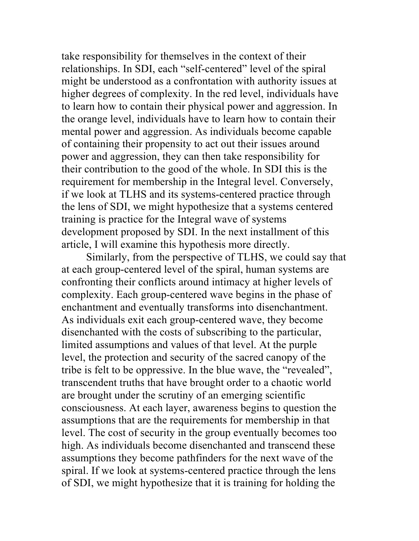take responsibility for themselves in the context of their relationships. In SDI, each "self-centered" level of the spiral might be understood as a confrontation with authority issues at higher degrees of complexity. In the red level, individuals have to learn how to contain their physical power and aggression. In the orange level, individuals have to learn how to contain their mental power and aggression. As individuals become capable of containing their propensity to act out their issues around power and aggression, they can then take responsibility for their contribution to the good of the whole. In SDI this is the requirement for membership in the Integral level. Conversely, if we look at TLHS and its systems-centered practice through the lens of SDI, we might hypothesize that a systems centered training is practice for the Integral wave of systems development proposed by SDI. In the next installment of this article, I will examine this hypothesis more directly.

Similarly, from the perspective of TLHS, we could say that at each group-centered level of the spiral, human systems are confronting their conflicts around intimacy at higher levels of complexity. Each group-centered wave begins in the phase of enchantment and eventually transforms into disenchantment. As individuals exit each group-centered wave, they become disenchanted with the costs of subscribing to the particular, limited assumptions and values of that level. At the purple level, the protection and security of the sacred canopy of the tribe is felt to be oppressive. In the blue wave, the "revealed", transcendent truths that have brought order to a chaotic world are brought under the scrutiny of an emerging scientific consciousness. At each layer, awareness begins to question the assumptions that are the requirements for membership in that level. The cost of security in the group eventually becomes too high. As individuals become disenchanted and transcend these assumptions they become pathfinders for the next wave of the spiral. If we look at systems-centered practice through the lens of SDI, we might hypothesize that it is training for holding the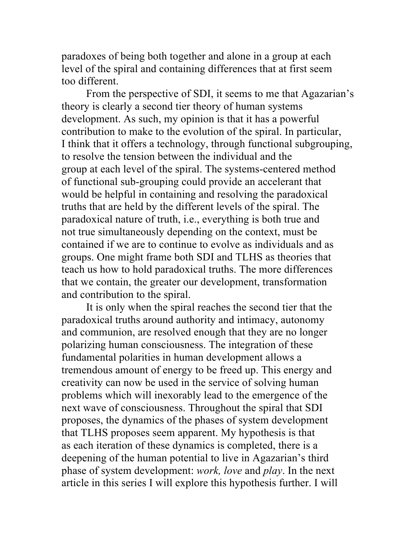paradoxes of being both together and alone in a group at each level of the spiral and containing differences that at first seem too different.

From the perspective of SDI, it seems to me that Agazarian's theory is clearly a second tier theory of human systems development. As such, my opinion is that it has a powerful contribution to make to the evolution of the spiral. In particular, I think that it offers a technology, through functional subgrouping, to resolve the tension between the individual and the group at each level of the spiral. The systems-centered method of functional sub-grouping could provide an accelerant that would be helpful in containing and resolving the paradoxical truths that are held by the different levels of the spiral. The paradoxical nature of truth, i.e., everything is both true and not true simultaneously depending on the context, must be contained if we are to continue to evolve as individuals and as groups. One might frame both SDI and TLHS as theories that teach us how to hold paradoxical truths. The more differences that we contain, the greater our development, transformation and contribution to the spiral.

It is only when the spiral reaches the second tier that the paradoxical truths around authority and intimacy, autonomy and communion, are resolved enough that they are no longer polarizing human consciousness. The integration of these fundamental polarities in human development allows a tremendous amount of energy to be freed up. This energy and creativity can now be used in the service of solving human problems which will inexorably lead to the emergence of the next wave of consciousness. Throughout the spiral that SDI proposes, the dynamics of the phases of system development that TLHS proposes seem apparent. My hypothesis is that as each iteration of these dynamics is completed, there is a deepening of the human potential to live in Agazarian's third phase of system development: *work, love* and *play*. In the next article in this series I will explore this hypothesis further. I will